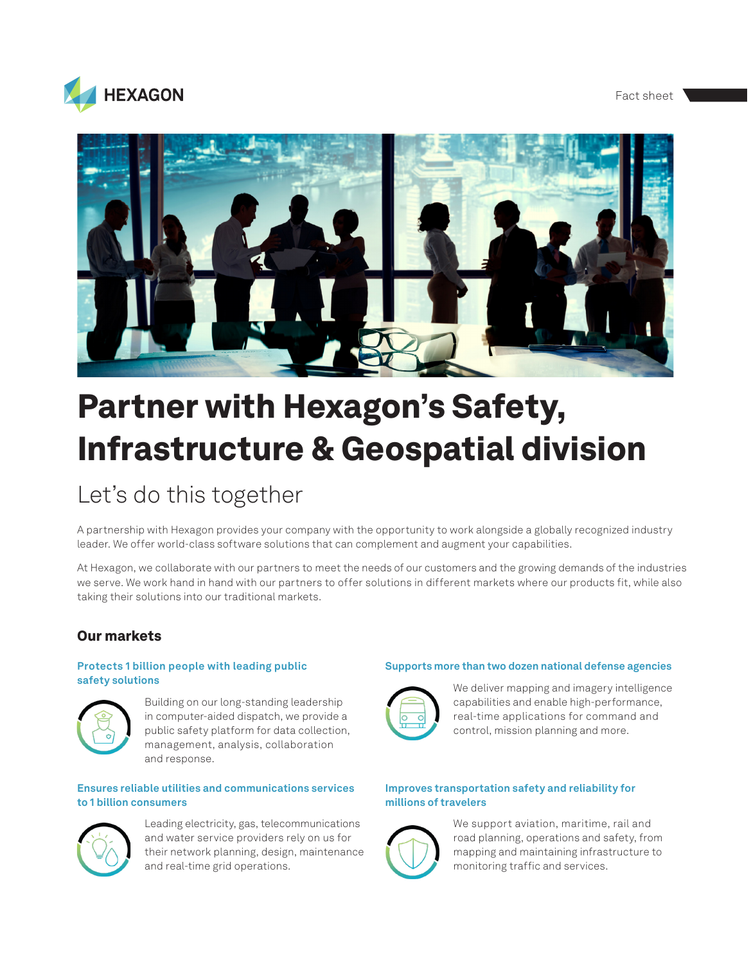#### Fact sheet





# Partner with Hexagon's Safety, Infrastructure & Geospatial division

# Let's do this together

A partnership with Hexagon provides your company with the opportunity to work alongside a globally recognized industry leader. We offer world-class software solutions that can complement and augment your capabilities.

At Hexagon, we collaborate with our partners to meet the needs of our customers and the growing demands of the industries we serve. We work hand in hand with our partners to offer solutions in different markets where our products fit, while also taking their solutions into our traditional markets.

## Our markets

#### **Protects 1 billion people with leading public safety solutions**



Building on our long-standing leadership in computer-aided dispatch, we provide a public safety platform for data collection, management, analysis, collaboration and response.

#### **Ensures reliable utilities and communications services to 1 billion consumers**



Leading electricity, gas, telecommunications and water service providers rely on us for their network planning, design, maintenance and real-time grid operations.

#### **Supports more than two dozen national defense agencies**



We deliver mapping and imagery intelligence capabilities and enable high-performance, real-time applications for command and control, mission planning and more.

#### **Improves transportation safety and reliability for millions of travelers**



We support aviation, maritime, rail and road planning, operations and safety, from mapping and maintaining infrastructure to monitoring traffic and services.